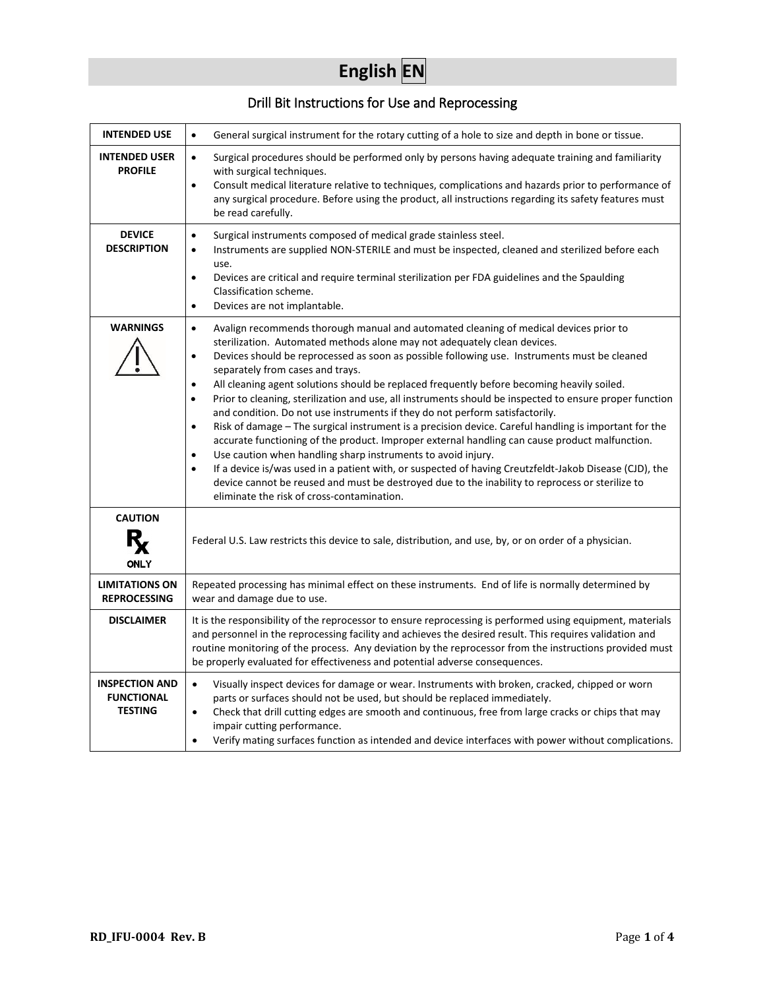# **English EN**

## Drill Bit Instructions for Use and Reprocessing

| <b>INTENDED USE</b>                                          | General surgical instrument for the rotary cutting of a hole to size and depth in bone or tissue.<br>$\bullet$                                                                                                                                                                                                                                                                                                                                                                                                                                                                                                                                                                                                                                                                                                                                                                                                                                                                                                                                                                                                                                                                                                          |  |
|--------------------------------------------------------------|-------------------------------------------------------------------------------------------------------------------------------------------------------------------------------------------------------------------------------------------------------------------------------------------------------------------------------------------------------------------------------------------------------------------------------------------------------------------------------------------------------------------------------------------------------------------------------------------------------------------------------------------------------------------------------------------------------------------------------------------------------------------------------------------------------------------------------------------------------------------------------------------------------------------------------------------------------------------------------------------------------------------------------------------------------------------------------------------------------------------------------------------------------------------------------------------------------------------------|--|
| <b>INTENDED USER</b><br><b>PROFILE</b>                       | Surgical procedures should be performed only by persons having adequate training and familiarity<br>$\bullet$<br>with surgical techniques.<br>Consult medical literature relative to techniques, complications and hazards prior to performance of<br>$\bullet$<br>any surgical procedure. Before using the product, all instructions regarding its safety features must<br>be read carefully.                                                                                                                                                                                                                                                                                                                                                                                                                                                                                                                                                                                                                                                                                                                                                                                                                          |  |
| <b>DEVICE</b><br><b>DESCRIPTION</b>                          | Surgical instruments composed of medical grade stainless steel.<br>$\bullet$<br>Instruments are supplied NON-STERILE and must be inspected, cleaned and sterilized before each<br>$\bullet$<br>use.<br>Devices are critical and require terminal sterilization per FDA guidelines and the Spaulding<br>$\bullet$<br>Classification scheme.<br>Devices are not implantable.<br>$\bullet$                                                                                                                                                                                                                                                                                                                                                                                                                                                                                                                                                                                                                                                                                                                                                                                                                                 |  |
| <b>WARNINGS</b>                                              | Avalign recommends thorough manual and automated cleaning of medical devices prior to<br>$\bullet$<br>sterilization. Automated methods alone may not adequately clean devices.<br>Devices should be reprocessed as soon as possible following use. Instruments must be cleaned<br>٠<br>separately from cases and trays.<br>All cleaning agent solutions should be replaced frequently before becoming heavily soiled.<br>$\bullet$<br>Prior to cleaning, sterilization and use, all instruments should be inspected to ensure proper function<br>$\bullet$<br>and condition. Do not use instruments if they do not perform satisfactorily.<br>Risk of damage - The surgical instrument is a precision device. Careful handling is important for the<br>$\bullet$<br>accurate functioning of the product. Improper external handling can cause product malfunction.<br>Use caution when handling sharp instruments to avoid injury.<br>$\bullet$<br>If a device is/was used in a patient with, or suspected of having Creutzfeldt-Jakob Disease (CJD), the<br>$\bullet$<br>device cannot be reused and must be destroyed due to the inability to reprocess or sterilize to<br>eliminate the risk of cross-contamination. |  |
| <b>CAUTION</b><br><b>ONLY</b>                                | Federal U.S. Law restricts this device to sale, distribution, and use, by, or on order of a physician.                                                                                                                                                                                                                                                                                                                                                                                                                                                                                                                                                                                                                                                                                                                                                                                                                                                                                                                                                                                                                                                                                                                  |  |
| <b>LIMITATIONS ON</b><br><b>REPROCESSING</b>                 | Repeated processing has minimal effect on these instruments. End of life is normally determined by<br>wear and damage due to use.                                                                                                                                                                                                                                                                                                                                                                                                                                                                                                                                                                                                                                                                                                                                                                                                                                                                                                                                                                                                                                                                                       |  |
| <b>DISCLAIMER</b>                                            | It is the responsibility of the reprocessor to ensure reprocessing is performed using equipment, materials<br>and personnel in the reprocessing facility and achieves the desired result. This requires validation and<br>routine monitoring of the process. Any deviation by the reprocessor from the instructions provided must<br>be properly evaluated for effectiveness and potential adverse consequences.                                                                                                                                                                                                                                                                                                                                                                                                                                                                                                                                                                                                                                                                                                                                                                                                        |  |
| <b>INSPECTION AND</b><br><b>FUNCTIONAL</b><br><b>TESTING</b> | Visually inspect devices for damage or wear. Instruments with broken, cracked, chipped or worn<br>$\bullet$<br>parts or surfaces should not be used, but should be replaced immediately.<br>Check that drill cutting edges are smooth and continuous, free from large cracks or chips that may<br>$\bullet$<br>impair cutting performance.<br>Verify mating surfaces function as intended and device interfaces with power without complications.<br>$\bullet$                                                                                                                                                                                                                                                                                                                                                                                                                                                                                                                                                                                                                                                                                                                                                          |  |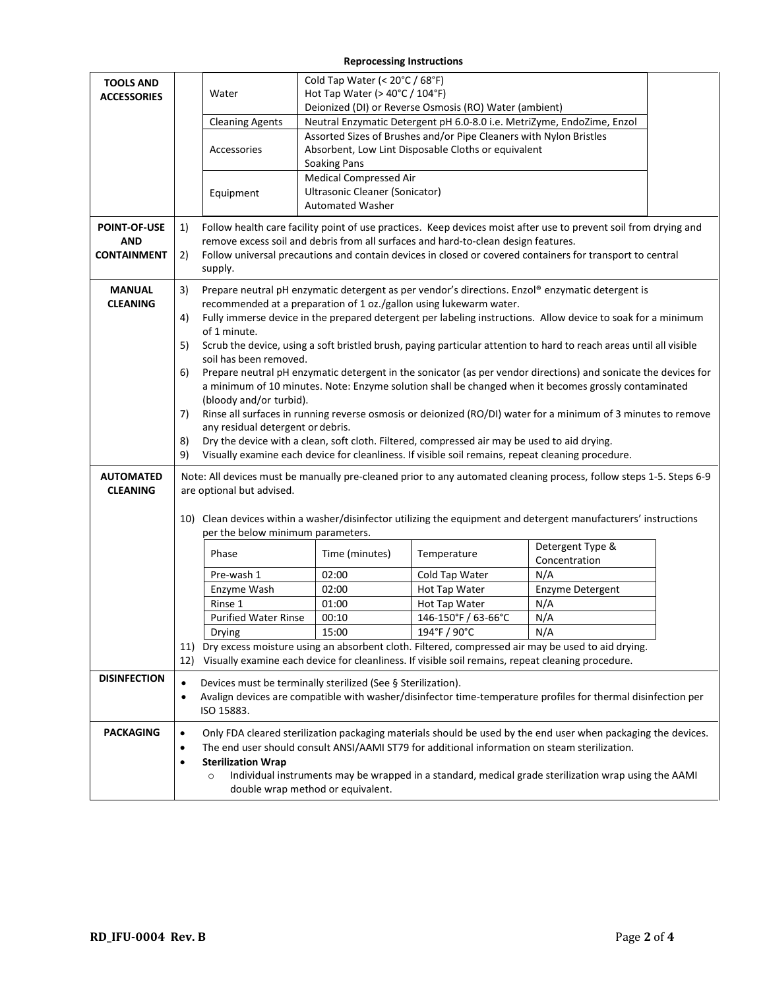#### **Reprocessing Instructions**

| <b>TOOLS AND</b><br><b>ACCESSORIES</b>                                  |                                        | Water<br><b>Cleaning Agents</b><br>Accessories<br>Equipment                                                                                                                                                                                                                                                                                                                                                                                                                                                                                                                                                                                                                                                                                                                                                                                                                                                                                                                                                                                                                                                                                                                                                                  | Cold Tap Water (< 20°C / 68°F)<br>Hot Tap Water ( $>$ 40 $^{\circ}$ C / 104 $^{\circ}$ F)<br><b>Soaking Pans</b><br><b>Medical Compressed Air</b><br>Ultrasonic Cleaner (Sonicator) | Deionized (DI) or Reverse Osmosis (RO) Water (ambient)<br>Assorted Sizes of Brushes and/or Pipe Cleaners with Nylon Bristles<br>Absorbent, Low Lint Disposable Cloths or equivalent | Neutral Enzymatic Detergent pH 6.0-8.0 i.e. MetriZyme, EndoZime, Enzol                                                                                                                                                |  |
|-------------------------------------------------------------------------|----------------------------------------|------------------------------------------------------------------------------------------------------------------------------------------------------------------------------------------------------------------------------------------------------------------------------------------------------------------------------------------------------------------------------------------------------------------------------------------------------------------------------------------------------------------------------------------------------------------------------------------------------------------------------------------------------------------------------------------------------------------------------------------------------------------------------------------------------------------------------------------------------------------------------------------------------------------------------------------------------------------------------------------------------------------------------------------------------------------------------------------------------------------------------------------------------------------------------------------------------------------------------|-------------------------------------------------------------------------------------------------------------------------------------------------------------------------------------|-------------------------------------------------------------------------------------------------------------------------------------------------------------------------------------|-----------------------------------------------------------------------------------------------------------------------------------------------------------------------------------------------------------------------|--|
|                                                                         |                                        |                                                                                                                                                                                                                                                                                                                                                                                                                                                                                                                                                                                                                                                                                                                                                                                                                                                                                                                                                                                                                                                                                                                                                                                                                              | <b>Automated Washer</b>                                                                                                                                                             |                                                                                                                                                                                     |                                                                                                                                                                                                                       |  |
| <b>POINT-OF-USE</b><br><b>AND</b><br><b>CONTAINMENT</b>                 | 1)<br>2)                               | Follow health care facility point of use practices. Keep devices moist after use to prevent soil from drying and<br>remove excess soil and debris from all surfaces and hard-to-clean design features.<br>Follow universal precautions and contain devices in closed or covered containers for transport to central<br>supply.                                                                                                                                                                                                                                                                                                                                                                                                                                                                                                                                                                                                                                                                                                                                                                                                                                                                                               |                                                                                                                                                                                     |                                                                                                                                                                                     |                                                                                                                                                                                                                       |  |
| <b>MANUAL</b><br><b>CLEANING</b><br><b>AUTOMATED</b><br><b>CLEANING</b> | 3)<br>4)<br>5)<br>6)<br>7)<br>8)<br>9) | Prepare neutral pH enzymatic detergent as per vendor's directions. Enzol® enzymatic detergent is<br>recommended at a preparation of 1 oz./gallon using lukewarm water.<br>Fully immerse device in the prepared detergent per labeling instructions. Allow device to soak for a minimum<br>of 1 minute.<br>Scrub the device, using a soft bristled brush, paying particular attention to hard to reach areas until all visible<br>soil has been removed.<br>Prepare neutral pH enzymatic detergent in the sonicator (as per vendor directions) and sonicate the devices for<br>a minimum of 10 minutes. Note: Enzyme solution shall be changed when it becomes grossly contaminated<br>(bloody and/or turbid).<br>Rinse all surfaces in running reverse osmosis or deionized (RO/DI) water for a minimum of 3 minutes to remove<br>any residual detergent or debris.<br>Dry the device with a clean, soft cloth. Filtered, compressed air may be used to aid drying.<br>Visually examine each device for cleanliness. If visible soil remains, repeat cleaning procedure.<br>Note: All devices must be manually pre-cleaned prior to any automated cleaning process, follow steps 1-5. Steps 6-9<br>are optional but advised. |                                                                                                                                                                                     |                                                                                                                                                                                     |                                                                                                                                                                                                                       |  |
|                                                                         |                                        | 10) Clean devices within a washer/disinfector utilizing the equipment and detergent manufacturers' instructions<br>per the below minimum parameters.                                                                                                                                                                                                                                                                                                                                                                                                                                                                                                                                                                                                                                                                                                                                                                                                                                                                                                                                                                                                                                                                         |                                                                                                                                                                                     |                                                                                                                                                                                     |                                                                                                                                                                                                                       |  |
|                                                                         |                                        | Phase                                                                                                                                                                                                                                                                                                                                                                                                                                                                                                                                                                                                                                                                                                                                                                                                                                                                                                                                                                                                                                                                                                                                                                                                                        | Time (minutes)                                                                                                                                                                      | Temperature                                                                                                                                                                         | Detergent Type &<br>Concentration                                                                                                                                                                                     |  |
|                                                                         |                                        | Pre-wash 1                                                                                                                                                                                                                                                                                                                                                                                                                                                                                                                                                                                                                                                                                                                                                                                                                                                                                                                                                                                                                                                                                                                                                                                                                   | 02:00                                                                                                                                                                               | Cold Tap Water                                                                                                                                                                      | N/A                                                                                                                                                                                                                   |  |
|                                                                         |                                        | Enzyme Wash                                                                                                                                                                                                                                                                                                                                                                                                                                                                                                                                                                                                                                                                                                                                                                                                                                                                                                                                                                                                                                                                                                                                                                                                                  | 02:00                                                                                                                                                                               | Hot Tap Water                                                                                                                                                                       | Enzyme Detergent                                                                                                                                                                                                      |  |
|                                                                         |                                        | Rinse 1                                                                                                                                                                                                                                                                                                                                                                                                                                                                                                                                                                                                                                                                                                                                                                                                                                                                                                                                                                                                                                                                                                                                                                                                                      | 01:00                                                                                                                                                                               | Hot Tap Water                                                                                                                                                                       | N/A                                                                                                                                                                                                                   |  |
|                                                                         |                                        | <b>Purified Water Rinse</b>                                                                                                                                                                                                                                                                                                                                                                                                                                                                                                                                                                                                                                                                                                                                                                                                                                                                                                                                                                                                                                                                                                                                                                                                  | 00:10                                                                                                                                                                               | 146-150°F / 63-66°C                                                                                                                                                                 | N/A                                                                                                                                                                                                                   |  |
|                                                                         |                                        | Drying                                                                                                                                                                                                                                                                                                                                                                                                                                                                                                                                                                                                                                                                                                                                                                                                                                                                                                                                                                                                                                                                                                                                                                                                                       | 15:00                                                                                                                                                                               | $194^{\circ}$ F / 90 $^{\circ}$ C                                                                                                                                                   | N/A                                                                                                                                                                                                                   |  |
|                                                                         |                                        |                                                                                                                                                                                                                                                                                                                                                                                                                                                                                                                                                                                                                                                                                                                                                                                                                                                                                                                                                                                                                                                                                                                                                                                                                              |                                                                                                                                                                                     |                                                                                                                                                                                     | 11) Dry excess moisture using an absorbent cloth. Filtered, compressed air may be used to aid drying.                                                                                                                 |  |
|                                                                         |                                        |                                                                                                                                                                                                                                                                                                                                                                                                                                                                                                                                                                                                                                                                                                                                                                                                                                                                                                                                                                                                                                                                                                                                                                                                                              |                                                                                                                                                                                     | 12) Visually examine each device for cleanliness. If visible soil remains, repeat cleaning procedure.                                                                               |                                                                                                                                                                                                                       |  |
| <b>DISINFECTION</b>                                                     | $\bullet$<br>$\bullet$                 | Devices must be terminally sterilized (See § Sterilization).<br>Avalign devices are compatible with washer/disinfector time-temperature profiles for thermal disinfection per<br>ISO 15883.                                                                                                                                                                                                                                                                                                                                                                                                                                                                                                                                                                                                                                                                                                                                                                                                                                                                                                                                                                                                                                  |                                                                                                                                                                                     |                                                                                                                                                                                     |                                                                                                                                                                                                                       |  |
| <b>PACKAGING</b>                                                        | $\bullet$<br>$\bullet$<br>$\bullet$    | <b>Sterilization Wrap</b><br>$\circ$                                                                                                                                                                                                                                                                                                                                                                                                                                                                                                                                                                                                                                                                                                                                                                                                                                                                                                                                                                                                                                                                                                                                                                                         | double wrap method or equivalent.                                                                                                                                                   | The end user should consult ANSI/AAMI ST79 for additional information on steam sterilization.                                                                                       | Only FDA cleared sterilization packaging materials should be used by the end user when packaging the devices.<br>Individual instruments may be wrapped in a standard, medical grade sterilization wrap using the AAMI |  |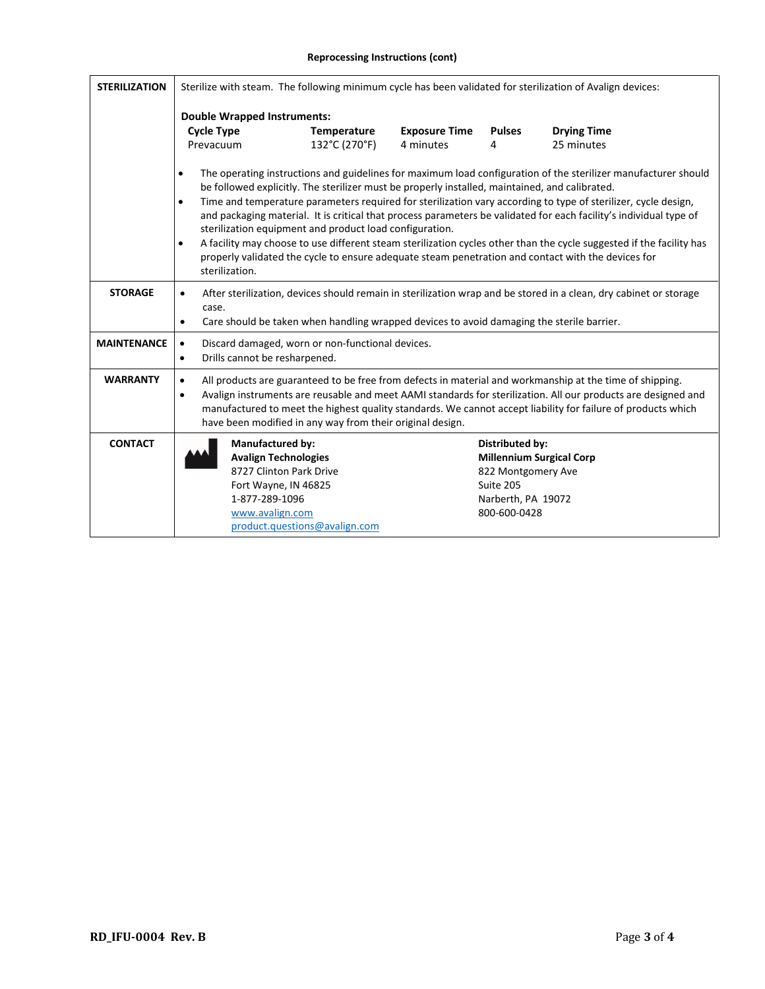#### **Reprocessing Instructions (cont)**

| <b>STERILIZATION</b> | Sterilize with steam. The following minimum cycle has been validated for sterilization of Avalign devices:                                                                                                                                                                                                                                                                                                                                                                                                                                                                                                                                                                                                                                                                                                 |                               |                                   |                                                                                                 |                                  |  |
|----------------------|------------------------------------------------------------------------------------------------------------------------------------------------------------------------------------------------------------------------------------------------------------------------------------------------------------------------------------------------------------------------------------------------------------------------------------------------------------------------------------------------------------------------------------------------------------------------------------------------------------------------------------------------------------------------------------------------------------------------------------------------------------------------------------------------------------|-------------------------------|-----------------------------------|-------------------------------------------------------------------------------------------------|----------------------------------|--|
|                      | <b>Double Wrapped Instruments:</b>                                                                                                                                                                                                                                                                                                                                                                                                                                                                                                                                                                                                                                                                                                                                                                         |                               |                                   |                                                                                                 |                                  |  |
|                      | <b>Cycle Type</b><br>Prevacuum                                                                                                                                                                                                                                                                                                                                                                                                                                                                                                                                                                                                                                                                                                                                                                             | Temperature<br>132°C (270°F)  | <b>Exposure Time</b><br>4 minutes | <b>Pulses</b><br>4                                                                              | <b>Drying Time</b><br>25 minutes |  |
|                      | The operating instructions and guidelines for maximum load configuration of the sterilizer manufacturer should<br>$\bullet$<br>be followed explicitly. The sterilizer must be properly installed, maintained, and calibrated.<br>Time and temperature parameters required for sterilization vary according to type of sterilizer, cycle design,<br>$\bullet$<br>and packaging material. It is critical that process parameters be validated for each facility's individual type of<br>sterilization equipment and product load configuration.<br>A facility may choose to use different steam sterilization cycles other than the cycle suggested if the facility has<br>$\bullet$<br>properly validated the cycle to ensure adequate steam penetration and contact with the devices for<br>sterilization. |                               |                                   |                                                                                                 |                                  |  |
| <b>STORAGE</b>       | After sterilization, devices should remain in sterilization wrap and be stored in a clean, dry cabinet or storage<br>$\bullet$<br>case.<br>Care should be taken when handling wrapped devices to avoid damaging the sterile barrier.<br>٠                                                                                                                                                                                                                                                                                                                                                                                                                                                                                                                                                                  |                               |                                   |                                                                                                 |                                  |  |
| <b>MAINTENANCE</b>   | Discard damaged, worn or non-functional devices.<br>$\bullet$<br>Drills cannot be resharpened.<br>$\bullet$                                                                                                                                                                                                                                                                                                                                                                                                                                                                                                                                                                                                                                                                                                |                               |                                   |                                                                                                 |                                  |  |
| <b>WARRANTY</b>      | All products are guaranteed to be free from defects in material and workmanship at the time of shipping.<br>$\bullet$<br>Avalign instruments are reusable and meet AAMI standards for sterilization. All our products are designed and<br>$\bullet$<br>manufactured to meet the highest quality standards. We cannot accept liability for failure of products which<br>have been modified in any way from their original design.                                                                                                                                                                                                                                                                                                                                                                           |                               |                                   |                                                                                                 |                                  |  |
| <b>CONTACT</b>       | <b>Manufactured by:</b><br><b>Avalign Technologies</b><br>8727 Clinton Park Drive<br>Fort Wayne, IN 46825<br>1-877-289-1096<br>www.avalign.com                                                                                                                                                                                                                                                                                                                                                                                                                                                                                                                                                                                                                                                             | product.questions@avalign.com |                                   | <b>Distributed by:</b><br>822 Montgomery Ave<br>Suite 205<br>Narberth, PA 19072<br>800-600-0428 | <b>Millennium Surgical Corp</b>  |  |